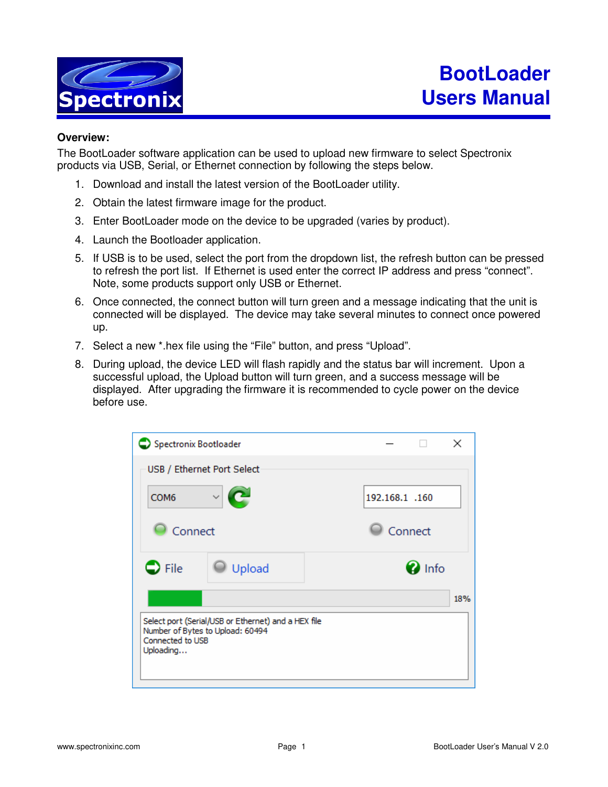

## **Overview:**

The BootLoader software application can be used to upload new firmware to select Spectronix products via USB, Serial, or Ethernet connection by following the steps below.

- 1. Download and install the latest version of the BootLoader utility.
- 2. Obtain the latest firmware image for the product.
- 3. Enter BootLoader mode on the device to be upgraded (varies by product).
- 4. Launch the Bootloader application.
- 5. If USB is to be used, select the port from the dropdown list, the refresh button can be pressed to refresh the port list. If Ethernet is used enter the correct IP address and press "connect". Note, some products support only USB or Ethernet.
- 6. Once connected, the connect button will turn green and a message indicating that the unit is connected will be displayed. The device may take several minutes to connect once powered up.
- 7. Select a new \*.hex file using the "File" button, and press "Upload".
- 8. During upload, the device LED will flash rapidly and the status bar will increment. Upon a successful upload, the Upload button will turn green, and a success message will be displayed. After upgrading the firmware it is recommended to cycle power on the device before use.